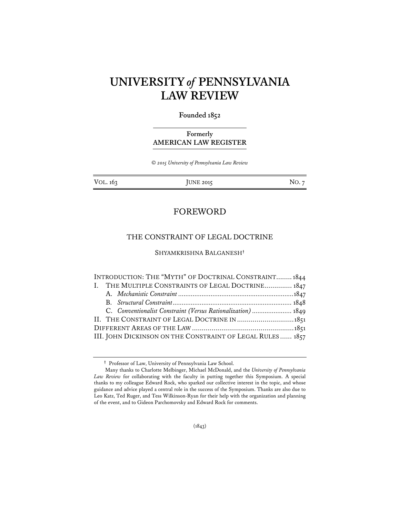# **UNIVERSITY** *of* **PENNSYLVANIA LAW REVIEW**

# **Founded 1852**

# **Formerly AMERICAN LAW REGISTER**

*© 2015 University of Pennsylvania Law Review* 

VOL. 163 JUNE 2015 JUNE 2015

# FOREWORD

# THE CONSTRAINT OF LEGAL DOCTRINE

SHYAMKRISHNA BALGANESH**†** 

|                                                            |  | INTRODUCTION: THE "MYTH" OF DOCTRINAL CONSTRAINT1844         |  |
|------------------------------------------------------------|--|--------------------------------------------------------------|--|
|                                                            |  | I. THE MULTIPLE CONSTRAINTS OF LEGAL DOCTRINE 1847           |  |
|                                                            |  |                                                              |  |
|                                                            |  |                                                              |  |
|                                                            |  | C. Conventionalist Constraint (Versus Rationalization)  1849 |  |
|                                                            |  | II. THE CONSTRAINT OF LEGAL DOCTRINE IN  1851                |  |
|                                                            |  |                                                              |  |
| III. JOHN DICKINSON ON THE CONSTRAINT OF LEGAL RULES  1857 |  |                                                              |  |

**<sup>†</sup>** Professor of Law, University of Pennsylvania Law School.

Many thanks to Charlotte Melbinger, Michael McDonald, and the *University of Pennsylvania Law Review* for collaborating with the faculty in putting together this Symposium. A special thanks to my colleague Edward Rock, who sparked our collective interest in the topic, and whose guidance and advice played a central role in the success of the Symposium. Thanks are also due to Leo Katz, Ted Ruger, and Tess Wilkinson-Ryan for their help with the organization and planning of the event, and to Gideon Parchomovsky and Edward Rock for comments.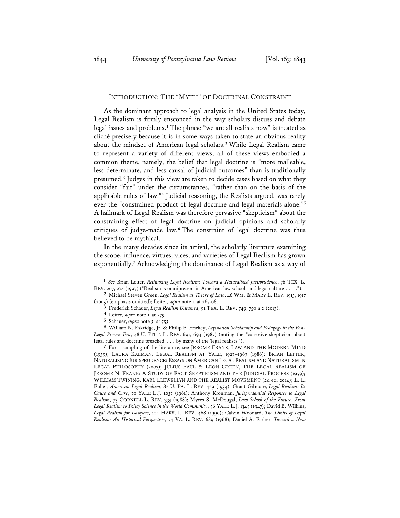#### INTRODUCTION: THE "MYTH" OF DOCTRINAL CONSTRAINT

As the dominant approach to legal analysis in the United States today, Legal Realism is firmly ensconced in the way scholars discuss and debate legal issues and problems.**<sup>1</sup>** The phrase "we are all realists now" is treated as cliché precisely because it is in some ways taken to state an obvious reality about the mindset of American legal scholars.**<sup>2</sup>** While Legal Realism came to represent a variety of different views, all of these views embodied a common theme, namely, the belief that legal doctrine is "more malleable, less determinate, and less causal of judicial outcomes" than is traditionally presumed.**<sup>3</sup>** Judges in this view are taken to decide cases based on what they consider "fair" under the circumstances, "rather than on the basis of the applicable rules of law."**<sup>4</sup>** Judicial reasoning, the Realists argued, was rarely ever the "constrained product of legal doctrine and legal materials alone."**<sup>5</sup>** A hallmark of Legal Realism was therefore pervasive "skepticism" about the constraining effect of legal doctrine on judicial opinions and scholarly critiques of judge-made law.**<sup>6</sup>** The constraint of legal doctrine was thus believed to be mythical.

In the many decades since its arrival, the scholarly literature examining the scope, influence, virtues, vices, and varieties of Legal Realism has grown exponentially.**<sup>7</sup>** Acknowledging the dominance of Legal Realism as a way of

**<sup>7</sup>** For a sampling of the literature, see JEROME FRANK, LAW AND THE MODERN MIND (1935); LAURA KALMAN, LEGAL REALISM AT YALE, 1927–1967 (1986); BRIAN LEITER, NATURALIZING JURISPRUDENCE: ESSAYS ON AMERICAN LEGAL REALISM AND NATURALISM IN LEGAL PHILOSOPHY (2007); JULIUS PAUL & LEON GREEN, THE LEGAL REALISM OF JEROME N. FRANK: A STUDY OF FACT-SKEPTICISM AND THE JUDICIAL PROCESS (1959); WILLIAM TWINING, KARL LLEWELLYN AND THE REALIST MOVEMENT (2d ed. 2014); L. L. Fuller, *American Legal Realism*, 82 U. PA. L. REV. 429 (1934); Grant Gilmore, *Legal Realism: Its Cause and Cure*, 70 YALE L.J. 1037 (1961); Anthony Kronman, *Jurisprudential Responses to Legal Realism*, 73 CORNELL L. REV. 335 (1988); Myres S. McDougal, *Law School of the Future: From Legal Realism to Policy Science in the World Community*, 56 YALE L.J. 1345 (1947); David B. Wilkins, *Legal Realism for Lawyers*, 104 HARV. L. REV. 468 (1990); Calvin Woodard, *The Limits of Legal Realism: An Historical Perspective*, 54 VA. L. REV. 689 (1968); Daniel A. Farber, *Toward a New* 

**<sup>1</sup>** *See* Brian Leiter, *Rethinking Legal Realism: Toward a Naturalized Jurisprudence*, 76 TEX. L. REV. 267, 274 (1997) ("Realism is omnipresent in American law schools and legal culture . . . .").

**<sup>2</sup>** Michael Steven Green, *Legal Realism as Theory of Law*, 46 WM. & MARY L. REV. 1915, 1917 (2005) (emphasis omitted); Leiter*, supra* note 1, at 267-68.

**<sup>3</sup>** Frederick Schauer, *Legal Realism Untamed*, 91 TEX. L. REV. 749, 750 n.2 (2013). **4** Leiter, *supra* note 1, at 275.

**<sup>5</sup>** Schauer, *supra* note 3, at 753.

**<sup>6</sup>** William N. Eskridge, Jr. & Philip P. Frickey, *Legislation Scholarship and Pedagogy in the Post-Legal Process Era*, 48 U. PITT. L. REV. 691, 694 (1987) (noting the "corrosive skepticism about legal rules and doctrine preached . . . by many of the 'legal realists'").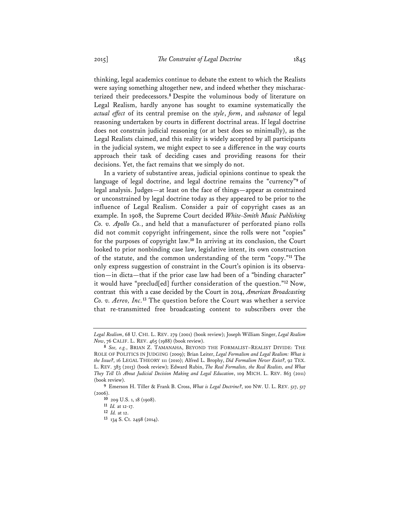thinking, legal academics continue to debate the extent to which the Realists were saying something altogether new, and indeed whether they mischaracterized their predecessors.**<sup>8</sup>** Despite the voluminous body of literature on Legal Realism, hardly anyone has sought to examine systematically the *actual effect* of its central premise on the *style*, *form*, and *substance* of legal reasoning undertaken by courts in different doctrinal areas. If legal doctrine does not constrain judicial reasoning (or at best does so minimally), as the Legal Realists claimed, and this reality is widely accepted by all participants in the judicial system, we might expect to see a difference in the way courts approach their task of deciding cases and providing reasons for their decisions. Yet, the fact remains that we simply do not.

In a variety of substantive areas, judicial opinions continue to speak the language of legal doctrine, and legal doctrine remains the "currency"**<sup>9</sup>** of legal analysis. Judges—at least on the face of things—appear as constrained or unconstrained by legal doctrine today as they appeared to be prior to the influence of Legal Realism. Consider a pair of copyright cases as an example. In 1908, the Supreme Court decided *White-Smith Music Publishing Co. v. Apollo Co.*, and held that a manufacturer of perforated piano rolls did not commit copyright infringement, since the rolls were not "copies" for the purposes of copyright law.**<sup>10</sup>** In arriving at its conclusion, the Court looked to prior nonbinding case law, legislative intent, its own construction of the statute, and the common understanding of the term "copy."**<sup>11</sup>** The only express suggestion of constraint in the Court's opinion is its observation—in dicta—that if the prior case law had been of a "binding character" it would have "preclud[ed] further consideration of the question."**<sup>12</sup>** Now, contrast this with a case decided by the Court in 2014, *American Broadcasting Co. v. Aereo, Inc.***<sup>13</sup>** The question before the Court was whether a service that re-transmitted free broadcasting content to subscribers over the

*Legal Realism*, 68 U. CHI. L. REV. 279 (2001) (book review); Joseph William Singer, *Legal Realism Now*, 76 CALIF. L. REV. 465 (1988) (book review).

**<sup>8</sup>** *See, e.g.*, BRIAN Z. TAMANAHA, BEYOND THE FORMALIST–REALIST DIVIDE: THE ROLE OF POLITICS IN JUDGING (2009); Brian Leiter, *Legal Formalism and Legal Realism: What is the Issue?*, 16 LEGAL THEORY 111 (2010); Alfred L. Brophy, *Did Formalism Never Exist?*, 92 TEX. L. REV. 383 (2013) (book review); Edward Rubin, *The Real Formalists, the Real Realists, and What They Tell Us About Judicial Decision Making and Legal Education*, 109 MICH. L. REV. 863 (2011) (book review).

**<sup>9</sup>** Emerson H. Tiller & Frank B. Cross, *What is Legal Doctrine?*, 100 NW. U. L. REV. 517, 517 (2006).

**<sup>10</sup>** 209 U.S. 1, 18 (1908).

**<sup>11</sup>** *Id.* at 12-17.

**<sup>12</sup>** *Id.* at 12. **13** 134 S. Ct. 2498 (2014).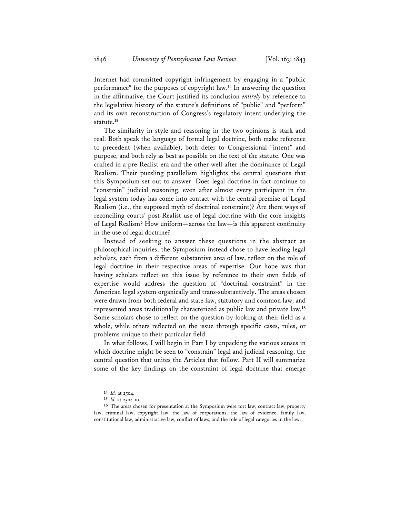Internet had committed copyright infringement by engaging in a "public performance" for the purposes of copyright law.**<sup>14</sup>** In answering the question in the affirmative, the Court justified its conclusion *entirely* by reference to the legislative history of the statute's definitions of "public" and "perform" and its own reconstruction of Congress's regulatory intent underlying the statute.**<sup>15</sup>**

The similarity in style and reasoning in the two opinions is stark and real. Both speak the language of formal legal doctrine, both make reference to precedent (when available), both defer to Congressional "intent" and purpose, and both rely as best as possible on the text of the statute. One was crafted in a pre-Realist era and the other well after the dominance of Legal Realism. Their puzzling parallelism highlights the central questions that this Symposium set out to answer: Does legal doctrine in fact continue to "constrain" judicial reasoning, even after almost every participant in the legal system today has come into contact with the central premise of Legal Realism (i.e., the supposed myth of doctrinal constraint)? Are there ways of reconciling courts' post-Realist use of legal doctrine with the core insights of Legal Realism? How uniform—across the law—is this apparent continuity in the use of legal doctrine?

Instead of seeking to answer these questions in the abstract as philosophical inquiries, the Symposium instead chose to have leading legal scholars, each from a different substantive area of law, reflect on the role of legal doctrine in their respective areas of expertise. Our hope was that having scholars reflect on this issue by reference to their own fields of expertise would address the question of "doctrinal constraint" in the American legal system organically and trans-substantively. The areas chosen were drawn from both federal and state law, statutory and common law, and represented areas traditionally characterized as public law and private law.**<sup>16</sup>** Some scholars chose to reflect on the question by looking at their field as a whole, while others reflected on the issue through specific cases, rules, or problems unique to their particular field.

In what follows, I will begin in Part I by unpacking the various senses in which doctrine might be seen to "constrain" legal and judicial reasoning, the central question that unites the Articles that follow. Part II will summarize some of the key findings on the constraint of legal doctrine that emerge

**<sup>14</sup>** *Id.* at 2504.

**<sup>15</sup>** *Id.* at 2504-10.

**<sup>16</sup>** The areas chosen for presentation at the Symposium were tort law, contract law, property law, criminal law, copyright law, the law of corporations, the law of evidence, family law, constitutional law, administrative law, conflict of laws, and the role of legal categories in the law.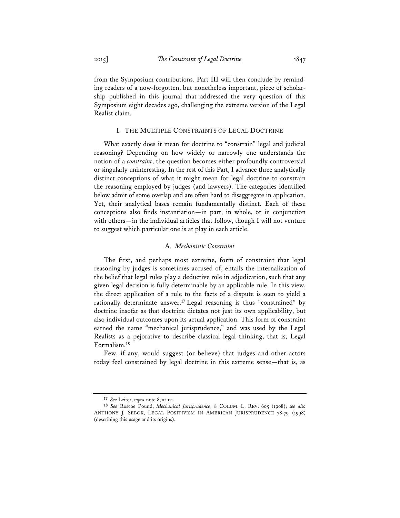from the Symposium contributions. Part III will then conclude by reminding readers of a now-forgotten, but nonetheless important, piece of scholarship published in this journal that addressed the very question of this Symposium eight decades ago, challenging the extreme version of the Legal Realist claim.

#### I. THE MULTIPLE CONSTRAINTS OF LEGAL DOCTRINE

What exactly does it mean for doctrine to "constrain" legal and judicial reasoning? Depending on how widely or narrowly one understands the notion of a *constraint*, the question becomes either profoundly controversial or singularly uninteresting. In the rest of this Part, I advance three analytically distinct conceptions of what it might mean for legal doctrine to constrain the reasoning employed by judges (and lawyers). The categories identified below admit of some overlap and are often hard to disaggregate in application. Yet, their analytical bases remain fundamentally distinct. Each of these conceptions also finds instantiation—in part, in whole, or in conjunction with others—in the individual articles that follow, though I will not venture to suggest which particular one is at play in each article.

#### A. *Mechanistic Constraint*

The first, and perhaps most extreme, form of constraint that legal reasoning by judges is sometimes accused of, entails the internalization of the belief that legal rules play a deductive role in adjudication, such that any given legal decision is fully determinable by an applicable rule. In this view, the direct application of a rule to the facts of a dispute is seen to yield a rationally determinate answer.**<sup>17</sup>** Legal reasoning is thus "constrained" by doctrine insofar as that doctrine dictates not just its own applicability, but also individual outcomes upon its actual application. This form of constraint earned the name "mechanical jurisprudence," and was used by the Legal Realists as a pejorative to describe classical legal thinking, that is, Legal Formalism.**<sup>18</sup>**

Few, if any, would suggest (or believe) that judges and other actors today feel constrained by legal doctrine in this extreme sense—that is, as

**<sup>17</sup>** *See* Leiter, *supra* note 8, at 111.

**<sup>18</sup>** *See* Roscoe Pound, *Mechanical Jurisprudence*, 8 COLUM. L. REV. 605 (1908); *see also* ANTHONY J. SEBOK, LEGAL POSITIVISM IN AMERICAN JURISPRUDENCE 78-79 (1998) (describing this usage and its origins).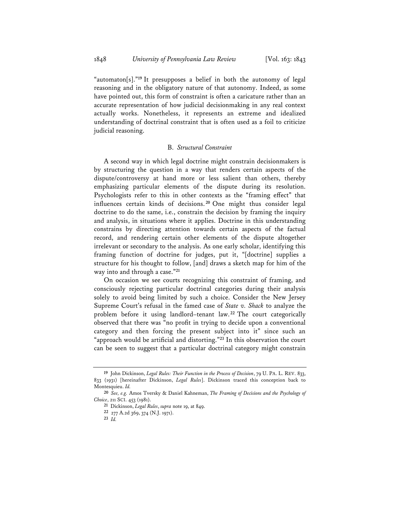"automaton[s]."**<sup>19</sup>** It presupposes a belief in both the autonomy of legal reasoning and in the obligatory nature of that autonomy. Indeed, as some have pointed out, this form of constraint is often a caricature rather than an accurate representation of how judicial decisionmaking in any real context actually works. Nonetheless, it represents an extreme and idealized understanding of doctrinal constraint that is often used as a foil to criticize judicial reasoning.

## B. *Structural Constraint*

A second way in which legal doctrine might constrain decisionmakers is by structuring the question in a way that renders certain aspects of the dispute/controversy at hand more or less salient than others, thereby emphasizing particular elements of the dispute during its resolution. Psychologists refer to this in other contexts as the "framing effect" that influences certain kinds of decisions. **<sup>20</sup>** One might thus consider legal doctrine to do the same, i.e., constrain the decision by framing the inquiry and analysis, in situations where it applies. Doctrine in this understanding constrains by directing attention towards certain aspects of the factual record, and rendering certain other elements of the dispute altogether irrelevant or secondary to the analysis. As one early scholar, identifying this framing function of doctrine for judges, put it, "[doctrine] supplies a structure for his thought to follow, [and] draws a sketch map for him of the way into and through a case."**<sup>21</sup>**

On occasion we see courts recognizing this constraint of framing, and consciously rejecting particular doctrinal categories during their analysis solely to avoid being limited by such a choice. Consider the New Jersey Supreme Court's refusal in the famed case of *State v. Shack* to analyze the problem before it using landlord–tenant law. **<sup>22</sup>** The court categorically observed that there was "no profit in trying to decide upon a conventional category and then forcing the present subject into it" since such an "approach would be artificial and distorting."**<sup>23</sup>** In this observation the court can be seen to suggest that a particular doctrinal category might constrain

**<sup>19</sup>** John Dickinson, *Legal Rules: Their Function in the Process of Decision*, 79 U. PA. L. REV. 833, 833 (1931) [hereinafter Dickinson, *Legal Rules*]. Dickinson traced this conception back to Montesquieu. *Id.* **<sup>20</sup>** *See, e.g.* Amos Tversky & Daniel Kahneman, *The Framing of Decisions and the Psychology of* 

*Choice*, 211 SCI. 453 (1981).

**<sup>21</sup>** Dickinson, *Legal Rules*, *supra* note 19, at 849.

**<sup>22</sup>** 277 A.2d 369, 374 (N.J. 1971).

**<sup>23</sup>** *Id.*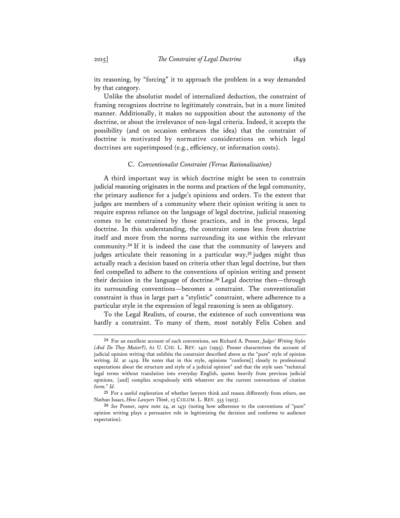its reasoning, by "forcing" it to approach the problem in a way demanded by that category.

Unlike the absolutist model of internalized deduction, the constraint of framing recognizes doctrine to legitimately constrain, but in a more limited manner. Additionally, it makes no supposition about the autonomy of the doctrine, or about the irrelevance of non-legal criteria. Indeed, it accepts the possibility (and on occasion embraces the idea) that the constraint of doctrine is motivated by normative considerations on which legal doctrines are superimposed (e.g., efficiency, or information costs).

### C. *Conventionalist Constraint (Versus Rationalization)*

A third important way in which doctrine might be seen to constrain judicial reasoning originates in the norms and practices of the legal community, the primary audience for a judge's opinions and orders. To the extent that judges are members of a community where their opinion writing is seen to require express reliance on the language of legal doctrine, judicial reasoning comes to be constrained by those practices, and in the process, legal doctrine. In this understanding, the constraint comes less from doctrine itself and more from the norms surrounding its use within the relevant community.**<sup>24</sup>** If it is indeed the case that the community of lawyers and judges articulate their reasoning in a particular way,**<sup>25</sup>** judges might thus actually reach a decision based on criteria other than legal doctrine, but then feel compelled to adhere to the conventions of opinion writing and present their decision in the language of doctrine.**<sup>26</sup>** Legal doctrine then—through its surrounding conventions—becomes a constraint. The conventionalist constraint is thus in large part a "stylistic" constraint, where adherence to a particular style in the expression of legal reasoning is seen as obligatory.

To the Legal Realists, of course, the existence of such conventions was hardly a constraint. To many of them, most notably Felix Cohen and

**<sup>24</sup>** For an excellent account of such conventions, see Richard A. Posner, *Judges' Writing Styles (And Do They Matter?)*, 62 U. CHI. L. REV. 1421 (1995). Posner characterizes the account of judicial opinion writing that exhibits the constraint described above as the "pure" style of opinion writing. *Id.* at 1429. He notes that in this style, opinions "conform<sup>[]</sup> closely to professional expectations about the structure and style of a judicial opinion" and that the style uses "technical legal terms without translation into everyday English, quotes heavily from previous judicial opinions, [and] complies scrupulously with whatever are the current conventions of citation form." *Id.* **<sup>25</sup>** For a useful exploration of whether lawyers think and reason differently from others, see

Nathan Isaacs, *How Lawyers Think*, 23 COLUM. L. REV. 555 (1923).

**<sup>26</sup>** *See* Posner, *supra* note 24, at 1431 (noting how adherence to the conventions of "pure" opinion writing plays a persuasive role in legitimizing the decision and conforms to audience expectation).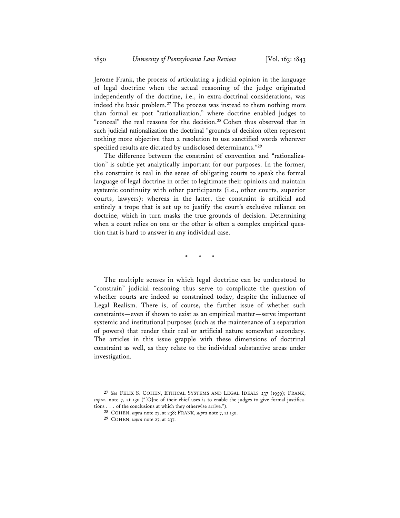Jerome Frank, the process of articulating a judicial opinion in the language of legal doctrine when the actual reasoning of the judge originated independently of the doctrine, i.e., in extra-doctrinal considerations, was indeed the basic problem.**<sup>27</sup>** The process was instead to them nothing more than formal ex post "rationalization," where doctrine enabled judges to "conceal" the real reasons for the decision.**<sup>28</sup>** Cohen thus observed that in such judicial rationalization the doctrinal "grounds of decision often represent nothing more objective than a resolution to use sanctified words wherever specified results are dictated by undisclosed determinants."**<sup>29</sup>**

The difference between the constraint of convention and "rationalization" is subtle yet analytically important for our purposes. In the former, the constraint is real in the sense of obligating courts to speak the formal language of legal doctrine in order to legitimate their opinions and maintain systemic continuity with other participants (i.e., other courts, superior courts, lawyers); whereas in the latter, the constraint is artificial and entirely a trope that is set up to justify the court's exclusive reliance on doctrine, which in turn masks the true grounds of decision. Determining when a court relies on one or the other is often a complex empirical question that is hard to answer in any individual case.

\* \* \*

The multiple senses in which legal doctrine can be understood to "constrain" judicial reasoning thus serve to complicate the question of whether courts are indeed so constrained today, despite the influence of Legal Realism. There is, of course, the further issue of whether such constraints—even if shown to exist as an empirical matter—serve important systemic and institutional purposes (such as the maintenance of a separation of powers) that render their real or artificial nature somewhat secondary. The articles in this issue grapple with these dimensions of doctrinal constraint as well, as they relate to the individual substantive areas under investigation.

**<sup>27</sup>** *See* FELIX S. COHEN, ETHICAL SYSTEMS AND LEGAL IDEALS 237 (1959); FRANK, *supra*, note 7, at 130 ("[O]ne of their chief uses is to enable the judges to give formal justifications . . . of the conclusions at which they otherwise arrive.").

**<sup>28</sup>** COHEN, *supra* note 27, at 238; FRANK, *supra* note 7, at 130.

**<sup>29</sup>** COHEN, *supra* note 27, at 237.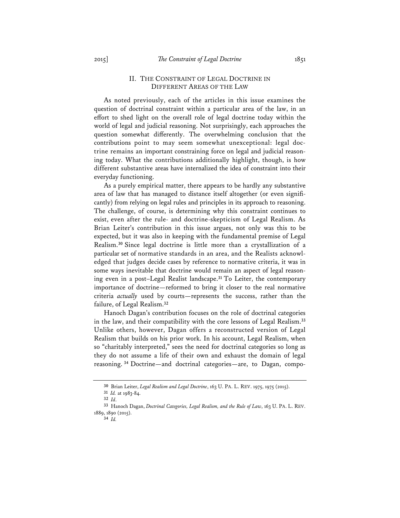#### II. THE CONSTRAINT OF LEGAL DOCTRINE IN DIFFERENT AREAS OF THE LAW

As noted previously, each of the articles in this issue examines the question of doctrinal constraint within a particular area of the law, in an effort to shed light on the overall role of legal doctrine today within the world of legal and judicial reasoning. Not surprisingly, each approaches the question somewhat differently. The overwhelming conclusion that the contributions point to may seem somewhat unexceptional: legal doctrine remains an important constraining force on legal and judicial reasoning today. What the contributions additionally highlight, though, is how different substantive areas have internalized the idea of constraint into their everyday functioning.

As a purely empirical matter, there appears to be hardly any substantive area of law that has managed to distance itself altogether (or even significantly) from relying on legal rules and principles in its approach to reasoning. The challenge, of course, is determining why this constraint continues to exist, even after the rule- and doctrine-skepticism of Legal Realism. As Brian Leiter's contribution in this issue argues, not only was this to be expected, but it was also in keeping with the fundamental premise of Legal Realism.**<sup>30</sup>** Since legal doctrine is little more than a crystallization of a particular set of normative standards in an area, and the Realists acknowledged that judges decide cases by reference to normative criteria, it was in some ways inevitable that doctrine would remain an aspect of legal reasoning even in a post–Legal Realist landscape.**<sup>31</sup>** To Leiter, the contemporary importance of doctrine—reformed to bring it closer to the real normative criteria *actually* used by courts—represents the success, rather than the failure, of Legal Realism.**<sup>32</sup>**

Hanoch Dagan's contribution focuses on the role of doctrinal categories in the law, and their compatibility with the core lessons of Legal Realism.**<sup>33</sup>** Unlike others, however, Dagan offers a reconstructed version of Legal Realism that builds on his prior work. In his account, Legal Realism, when so "charitably interpreted," sees the need for doctrinal categories so long as they do not assume a life of their own and exhaust the domain of legal reasoning.**<sup>34</sup>** Doctrine—and doctrinal categories—are, to Dagan, compo-

**<sup>30</sup>** Brian Leiter, *Legal Realism and Legal Doctrine*, 163 U. PA. L. REV. 1975, 1975 (2015). **<sup>31</sup>** *Id.* at 1983-84.

**<sup>32</sup>** *Id*. **33** Hanoch Dagan, *Doctrinal Categories, Legal Realism, and the Rule of Law*, 163 U. PA. L. REV. 1889, 1890 (2015).

**<sup>34</sup>** *Id.*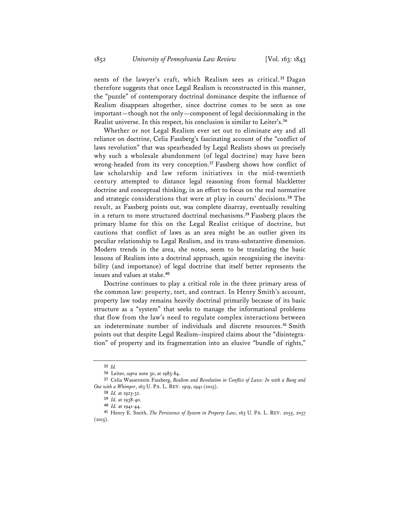nents of the lawyer's craft, which Realism sees as critical.**<sup>35</sup>** Dagan therefore suggests that once Legal Realism is reconstructed in this manner, the "puzzle" of contemporary doctrinal dominance despite the influence of Realism disappears altogether, since doctrine comes to be seen as one important—though not the only—component of legal decisionmaking in the Realist universe. In this respect, his conclusion is similar to Leiter's.**<sup>36</sup>**

Whether or not Legal Realism ever set out to eliminate *any* and all reliance on doctrine, Celia Fassberg's fascinating account of the "conflict of laws revolution" that was spearheaded by Legal Realists shows us precisely why such a wholesale abandonment (of legal doctrine) may have been wrong-headed from its very conception.**<sup>37</sup>** Fassberg shows how conflict of law scholarship and law reform initiatives in the mid-twentieth century attempted to distance legal reasoning from formal blackletter doctrine and conceptual thinking, in an effort to focus on the real normative and strategic considerations that were at play in courts' decisions.**<sup>38</sup>** The result, as Fassberg points out, was complete disarray, eventually resulting in a return to more structured doctrinal mechanisms.**<sup>39</sup>** Fassberg places the primary blame for this on the Legal Realist critique of doctrine, but cautions that conflict of laws as an area might be an outlier given its peculiar relationship to Legal Realism, and its trans-substantive dimension. Modern trends in the area, she notes, seem to be translating the basic lessons of Realism into a doctrinal approach, again recognizing the inevitability (and importance) of legal doctrine that itself better represents the issues and values at stake.**<sup>40</sup>**

Doctrine continues to play a critical role in the three primary areas of the common law: property, tort, and contract. In Henry Smith's account, property law today remains heavily doctrinal primarily because of its basic structure as a "system" that seeks to manage the informational problems that flow from the law's need to regulate complex interactions between an indeterminate number of individuals and discrete resources.**<sup>41</sup>** Smith points out that despite Legal Realism–inspired claims about the "disintegration" of property and its fragmentation into an elusive "bundle of rights,"

**<sup>35</sup>** *Id.*

**<sup>36</sup>** Leiter, *supra* note 30, at 1983-84.

**<sup>37</sup>** Celia Wasserstein Fassberg, *Realism and Revolution in Conflict of Laws: In with a Bang and Out with a Whimper*, 163 U. PA. L. REV. 1919, 1941 (2015).

**<sup>38</sup>** *Id.* at 1923-32.

**<sup>39</sup>** *Id.* at 1938-40.

**<sup>40</sup>** *Id.* at 1941-44. **41** Henry E. Smith, *The Persistence of System in Property Law*, 163 U. PA. L. REV. 2055, 2057  $(2015).$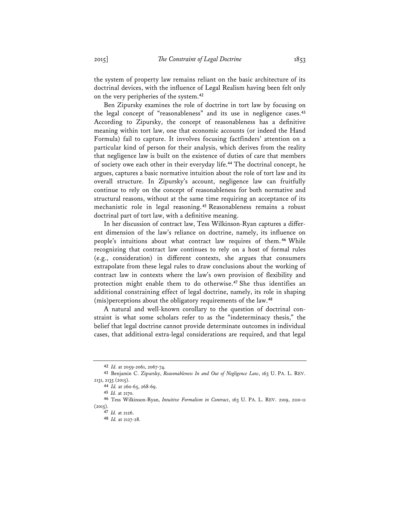the system of property law remains reliant on the basic architecture of its doctrinal devices, with the influence of Legal Realism having been felt only on the very peripheries of the system.**<sup>42</sup>**

Ben Zipursky examines the role of doctrine in tort law by focusing on the legal concept of "reasonableness" and its use in negligence cases.**<sup>43</sup>** According to Zipursky, the concept of reasonableness has a definitive meaning within tort law, one that economic accounts (or indeed the Hand Formula) fail to capture. It involves focusing factfinders' attention on a particular kind of person for their analysis, which derives from the reality that negligence law is built on the existence of duties of care that members of society owe each other in their everyday life.**<sup>44</sup>** The doctrinal concept, he argues, captures a basic normative intuition about the role of tort law and its overall structure. In Zipursky's account, negligence law can fruitfully continue to rely on the concept of reasonableness for both normative and structural reasons, without at the same time requiring an acceptance of its mechanistic role in legal reasoning.**<sup>45</sup>** Reasonableness remains a robust doctrinal part of tort law, with a definitive meaning.

In her discussion of contract law, Tess Wilkinson-Ryan captures a different dimension of the law's reliance on doctrine, namely, its influence on people's intuitions about what contract law requires of them. **<sup>46</sup>** While recognizing that contract law continues to rely on a host of formal rules (e.g., consideration) in different contexts, she argues that consumers extrapolate from these legal rules to draw conclusions about the working of contract law in contexts where the law's own provision of flexibility and protection might enable them to do otherwise.**<sup>47</sup>** She thus identifies an additional constraining effect of legal doctrine, namely, its role in shaping (mis)perceptions about the obligatory requirements of the law.**<sup>48</sup>**

A natural and well-known corollary to the question of doctrinal constraint is what some scholars refer to as the "indeterminacy thesis," the belief that legal doctrine cannot provide determinate outcomes in individual cases, that additional extra-legal considerations are required, and that legal

**<sup>42</sup>** *Id.* at 2059-2061, 2067-74.

**<sup>43</sup>** Benjamin C. Zipursky, *Reasonableness In and Out of Negligence Law*, 163 U. PA. L. REV.

<sup>2131, 2135 (2015).</sup> **<sup>44</sup>** *Id.* at 260-65, 268-69.

**<sup>45</sup>** *Id.* at 2170.

**<sup>46</sup>** Tess Wilkinson-Ryan, *Intuitive Formalism in Contract*, 163 U. PA. L. REV. 2109, 2110-11 (2015).

**<sup>47</sup>** *Id.* at 2126.

**<sup>48</sup>** *Id.* at 2127-28.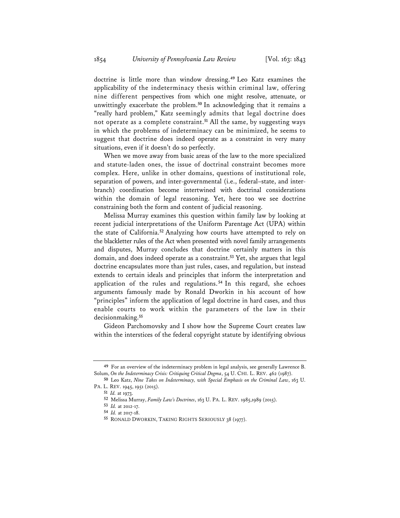doctrine is little more than window dressing.**<sup>49</sup>** Leo Katz examines the applicability of the indeterminacy thesis within criminal law, offering nine different perspectives from which one might resolve, attenuate, or unwittingly exacerbate the problem.**<sup>50</sup>** In acknowledging that it remains a "really hard problem," Katz seemingly admits that legal doctrine does not operate as a complete constraint.**<sup>51</sup>** All the same, by suggesting ways in which the problems of indeterminacy can be minimized, he seems to suggest that doctrine does indeed operate as a constraint in very many situations, even if it doesn't do so perfectly.

When we move away from basic areas of the law to the more specialized and statute-laden ones, the issue of doctrinal constraint becomes more complex. Here, unlike in other domains, questions of institutional role, separation of powers, and inter-governmental (i.e., federal–state, and interbranch) coordination become intertwined with doctrinal considerations within the domain of legal reasoning. Yet, here too we see doctrine constraining both the form and content of judicial reasoning.

Melissa Murray examines this question within family law by looking at recent judicial interpretations of the Uniform Parentage Act (UPA) within the state of California.**<sup>52</sup>** Analyzing how courts have attempted to rely on the blackletter rules of the Act when presented with novel family arrangements and disputes, Murray concludes that doctrine certainly matters in this domain, and does indeed operate as a constraint.**<sup>53</sup>** Yet, she argues that legal doctrine encapsulates more than just rules, cases, and regulation, but instead extends to certain ideals and principles that inform the interpretation and application of the rules and regulations. **<sup>54</sup>** In this regard, she echoes arguments famously made by Ronald Dworkin in his account of how "principles" inform the application of legal doctrine in hard cases, and thus enable courts to work within the parameters of the law in their decisionmaking.**<sup>55</sup>**

Gideon Parchomovsky and I show how the Supreme Court creates law within the interstices of the federal copyright statute by identifying obvious

**<sup>49</sup>** For an overview of the indeterminacy problem in legal analysis, see generally Lawrence B. Solum, *On the Indeterminacy Crisis: Critiquing Critical Dogma*, 54 U. CHI. L. REV. 462 (1987).

**<sup>50</sup>** Leo Katz, *Nine Takes on Indeterminacy, with Special Emphasis on the Criminal Law*, 163 U. PA. L. REV. 1945, 1951 (2015).

**<sup>51</sup>** *Id.* at 1973.

**<sup>52</sup>** Melissa Murray, *Family Law's Doctrines*, 163 U. PA. L. REV. 1985,1989 (2015).

**<sup>53</sup>** *Id.* at 2012-17.

**<sup>54</sup>** *Id.* at 2017-18.

**<sup>55</sup>** RONALD DWORKIN, TAKING RIGHTS SERIOUSLY 38 (1977).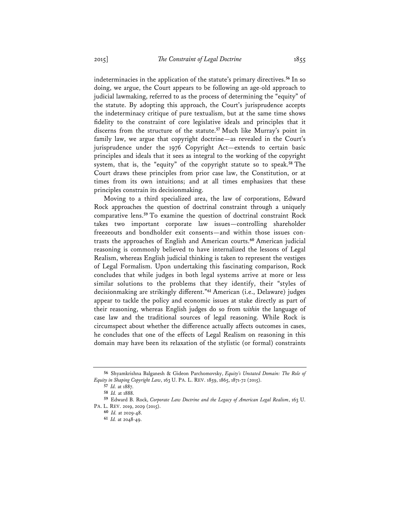indeterminacies in the application of the statute's primary directives.**<sup>56</sup>** In so doing, we argue, the Court appears to be following an age-old approach to judicial lawmaking, referred to as the process of determining the "equity" of the statute. By adopting this approach, the Court's jurisprudence accepts the indeterminacy critique of pure textualism, but at the same time shows fidelity to the constraint of core legislative ideals and principles that it discerns from the structure of the statute.**<sup>57</sup>** Much like Murray's point in family law, we argue that copyright doctrine—as revealed in the Court's jurisprudence under the 1976 Copyright Act—extends to certain basic principles and ideals that it sees as integral to the working of the copyright system, that is, the "equity" of the copyright statute so to speak.**<sup>58</sup>** The Court draws these principles from prior case law, the Constitution, or at times from its own intuitions; and at all times emphasizes that these principles constrain its decisionmaking.

Moving to a third specialized area, the law of corporations, Edward Rock approaches the question of doctrinal constraint through a uniquely comparative lens.**<sup>59</sup>** To examine the question of doctrinal constraint Rock takes two important corporate law issues—controlling shareholder freezeouts and bondholder exit consents—and within those issues contrasts the approaches of English and American courts.**<sup>60</sup>** American judicial reasoning is commonly believed to have internalized the lessons of Legal Realism, whereas English judicial thinking is taken to represent the vestiges of Legal Formalism. Upon undertaking this fascinating comparison, Rock concludes that while judges in both legal systems arrive at more or less similar solutions to the problems that they identify, their "styles of decisionmaking are strikingly different."**<sup>61</sup>** American (i.e., Delaware) judges appear to tackle the policy and economic issues at stake directly as part of their reasoning, whereas English judges do so from *within* the language of case law and the traditional sources of legal reasoning. While Rock is circumspect about whether the difference actually affects outcomes in cases, he concludes that one of the effects of Legal Realism on reasoning in this domain may have been its relaxation of the stylistic (or formal) constraints

**<sup>56</sup>** Shyamkrishna Balganesh & Gideon Parchomovsky, *Equity's Unstated Domain: The Role of Equity in Shaping Copyright Law*, 163 U. PA. L. REV. 1859, 1865, 1871-72 (2015).

**<sup>57</sup>** *Id.* at 1887.

**<sup>58</sup>** *Id.* at 1888.

**<sup>59</sup>** Edward B. Rock, *Corporate Law Doctrine and the Legacy of American Legal Realism*, 163 U. PA. L. REV. 2019, 2029 (2015).

**<sup>60</sup>** *Id.* at 2029-48.

**<sup>61</sup>** *Id.* at 2048-49.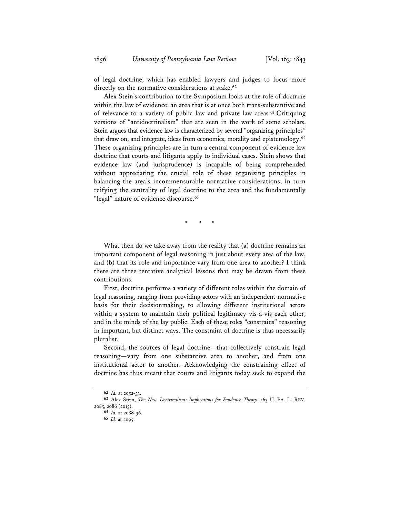of legal doctrine, which has enabled lawyers and judges to focus more directly on the normative considerations at stake.**<sup>62</sup>**

Alex Stein's contribution to the Symposium looks at the role of doctrine within the law of evidence, an area that is at once both trans-substantive and of relevance to a variety of public law and private law areas.**<sup>63</sup>** Critiquing versions of "antidoctrinalism" that are seen in the work of some scholars, Stein argues that evidence law is characterized by several "organizing principles" that draw on, and integrate, ideas from economics, morality and epistemology.**<sup>64</sup>** These organizing principles are in turn a central component of evidence law doctrine that courts and litigants apply to individual cases. Stein shows that evidence law (and jurisprudence) is incapable of being comprehended without appreciating the crucial role of these organizing principles in balancing the area's incommensurable normative considerations, in turn reifying the centrality of legal doctrine to the area and the fundamentally "legal" nature of evidence discourse.**<sup>65</sup>**

\* \* \*

What then do we take away from the reality that (a) doctrine remains an important component of legal reasoning in just about every area of the law, and (b) that its role and importance vary from one area to another? I think there are three tentative analytical lessons that may be drawn from these contributions.

First, doctrine performs a variety of different roles within the domain of legal reasoning, ranging from providing actors with an independent normative basis for their decisionmaking, to allowing different institutional actors within a system to maintain their political legitimacy vis-à-vis each other, and in the minds of the lay public. Each of these roles "constrains" reasoning in important, but distinct ways. The constraint of doctrine is thus necessarily pluralist.

Second, the sources of legal doctrine—that collectively constrain legal reasoning—vary from one substantive area to another, and from one institutional actor to another. Acknowledging the constraining effect of doctrine has thus meant that courts and litigants today seek to expand the

**<sup>62</sup>** *Id.* at 2052-53.

**<sup>63</sup>** Alex Stein, *The New Doctrinalism: Implications for Evidence Theory*, 163 U. PA. L. REV. 2085, 2086 (2015).

**<sup>64</sup>** *Id.* at 2088-96.

**<sup>65</sup>** *Id.* at 2095.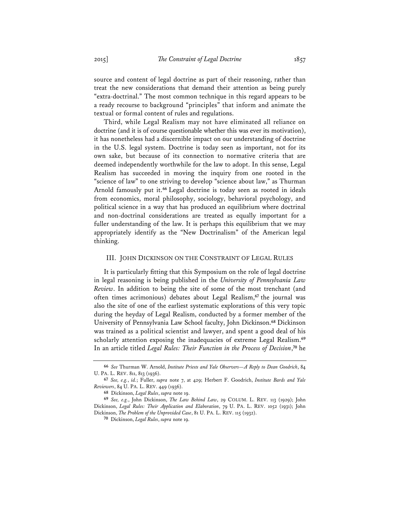source and content of legal doctrine as part of their reasoning, rather than treat the new considerations that demand their attention as being purely "extra-doctrinal." The most common technique in this regard appears to be a ready recourse to background "principles" that inform and animate the textual or formal content of rules and regulations.

Third, while Legal Realism may not have eliminated all reliance on doctrine (and it is of course questionable whether this was ever its motivation), it has nonetheless had a discernible impact on our understanding of doctrine in the U.S. legal system. Doctrine is today seen as important, not for its own sake, but because of its connection to normative criteria that are deemed independently worthwhile for the law to adopt. In this sense, Legal Realism has succeeded in moving the inquiry from one rooted in the "science of law" to one striving to develop "science about law," as Thurman Arnold famously put it.**<sup>66</sup>** Legal doctrine is today seen as rooted in ideals from economics, moral philosophy, sociology, behavioral psychology, and political science in a way that has produced an equilibrium where doctrinal and non-doctrinal considerations are treated as equally important for a fuller understanding of the law. It is perhaps this equilibrium that we may appropriately identify as the "New Doctrinalism" of the American legal thinking.

#### III. JOHN DICKINSON ON THE CONSTRAINT OF LEGAL RULES

It is particularly fitting that this Symposium on the role of legal doctrine in legal reasoning is being published in the *University of Pennsylvania Law Review*. In addition to being the site of some of the most trenchant (and often times acrimonious) debates about Legal Realism,**<sup>67</sup>** the journal was also the site of one of the earliest systematic explorations of this very topic during the heyday of Legal Realism, conducted by a former member of the University of Pennsylvania Law School faculty, John Dickinson.**<sup>68</sup>** Dickinson was trained as a political scientist and lawyer, and spent a good deal of his scholarly attention exposing the inadequacies of extreme Legal Realism.**<sup>69</sup>** In an article titled *Legal Rules: Their Function in the Process of Decision*, **<sup>70</sup>** he

**<sup>66</sup>** *See* Thurman W. Arnold, *Institute Priests and Yale Observers—A Reply to Dean Goodrich*, 84 U. PA. L. REV. 811, 813 (1936).

**<sup>67</sup>** *See, e.g.*, *id.*; Fuller, *supra* note 7, at 429; Herbert F. Goodrich, *Institute Bards and Yale Reviewers*, 84 U. PA. L. REV. 449 (1936).

**<sup>68</sup>** Dickinson, *Legal Rules*, *supra* note 19.

**<sup>69</sup>** *See, e.g.*, John Dickinson, *The Law Behind Law*, 29 COLUM. L. REV. 113 (1929); John Dickinson, *Legal Rules: Their Application and Elaboration*, 79 U. PA. L. REV. 1052 (1931); John Dickinson, *The Problem of the Unprovided Case*, 81 U. PA. L. REV. 115 (1932).

**<sup>70</sup>** Dickinson, *Legal Rules*, *supra* note 19.